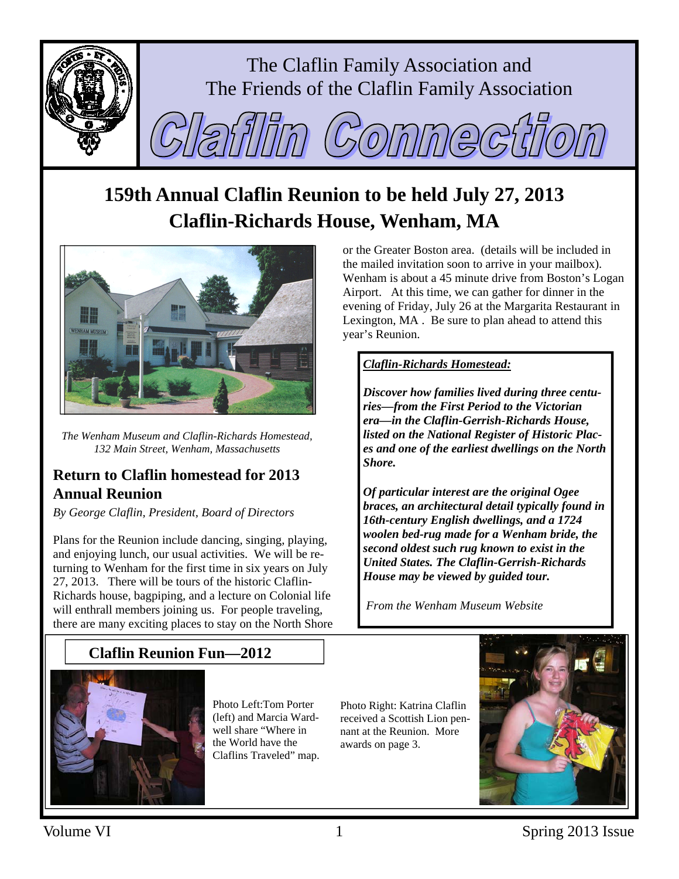

# **159th Annual Claflin Reunion to be held July 27, 2013 Claflin-Richards House, Wenham, MA**



*The Wenham Museum and Claflin-Richards Homestead, 132 Main Street, Wenham, Massachusetts* 

## **Return to Claflin homestead for 2013 Annual Reunion**

*By George Claflin, President, Board of Directors* 

Plans for the Reunion include dancing, singing, playing, and enjoying lunch, our usual activities. We will be returning to Wenham for the first time in six years on July 27, 2013. There will be tours of the historic Claflin-Richards house, bagpiping, and a lecture on Colonial life will enthrall members joining us. For people traveling, there are many exciting places to stay on the North Shore

## **Claflin Reunion Fun—2012**



Photo Left:Tom Porter (left) and Marcia Wardwell share "Where in the World have the Claflins Traveled" map. Photo Right: Katrina Claflin received a Scottish Lion pennant at the Reunion. More awards on page 3.



or the Greater Boston area. (details will be included in the mailed invitation soon to arrive in your mailbox). Wenham is about a 45 minute drive from Boston's Logan Airport. At this time, we can gather for dinner in the evening of Friday, July 26 at the Margarita Restaurant in Lexington, MA . Be sure to plan ahead to attend this year's Reunion.

#### *Claflin-Richards Homestead:*

*Discover how families lived during three centuries—from the First Period to the Victorian era—in the Claflin-Gerrish-Richards House, listed on the National Register of Historic Places and one of the earliest dwellings on the North Shore.* 

*Of particular interest are the original Ogee braces, an architectural detail typically found in 16th-century English dwellings, and a 1724 woolen bed-rug made for a Wenham bride, the second oldest such rug known to exist in the United States. The Claflin-Gerrish-Richards House may be viewed by guided tour.* 

*From the Wenham Museum Website*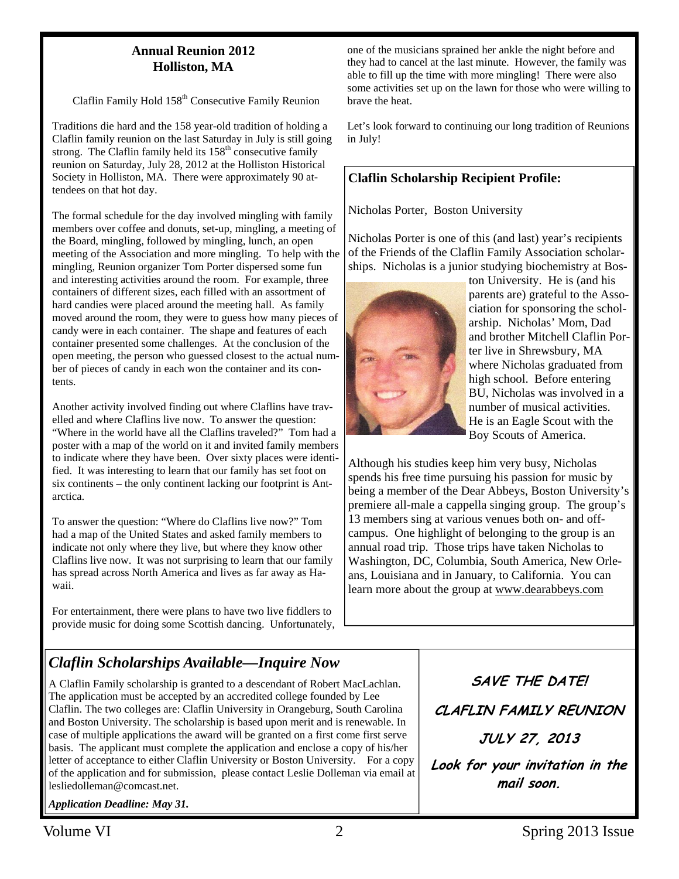#### **Annual Reunion 2012 Holliston, MA**

Claflin Family Hold 158<sup>th</sup> Consecutive Family Reunion

Traditions die hard and the 158 year-old tradition of holding a Claflin family reunion on the last Saturday in July is still going strong. The Claflin family held its  $158<sup>th</sup>$  consecutive family reunion on Saturday, July 28, 2012 at the Holliston Historical Society in Holliston, MA. There were approximately 90 attendees on that hot day.

The formal schedule for the day involved mingling with family members over coffee and donuts, set-up, mingling, a meeting of the Board, mingling, followed by mingling, lunch, an open meeting of the Association and more mingling. To help with the mingling, Reunion organizer Tom Porter dispersed some fun and interesting activities around the room. For example, three containers of different sizes, each filled with an assortment of hard candies were placed around the meeting hall. As family moved around the room, they were to guess how many pieces of candy were in each container. The shape and features of each container presented some challenges. At the conclusion of the open meeting, the person who guessed closest to the actual number of pieces of candy in each won the container and its contents.

Another activity involved finding out where Claflins have travelled and where Claflins live now. To answer the question: "Where in the world have all the Claflins traveled?" Tom had a poster with a map of the world on it and invited family members to indicate where they have been. Over sixty places were identified. It was interesting to learn that our family has set foot on six continents – the only continent lacking our footprint is Antarctica.

To answer the question: "Where do Claflins live now?" Tom had a map of the United States and asked family members to indicate not only where they live, but where they know other Claflins live now. It was not surprising to learn that our family has spread across North America and lives as far away as Hawaii.

For entertainment, there were plans to have two live fiddlers to provide music for doing some Scottish dancing. Unfortunately,

#### one of the musicians sprained her ankle the night before and they had to cancel at the last minute. However, the family was able to fill up the time with more mingling! There were also some activities set up on the lawn for those who were willing to brave the heat.

Let's look forward to continuing our long tradition of Reunions in July!

#### **Claflin Scholarship Recipient Profile:**

Nicholas Porter, Boston University

Nicholas Porter is one of this (and last) year's recipients of the Friends of the Claflin Family Association scholarships. Nicholas is a junior studying biochemistry at Bos-



ton University. He is (and his parents are) grateful to the Association for sponsoring the scholarship. Nicholas' Mom, Dad and brother Mitchell Claflin Porter live in Shrewsbury, MA where Nicholas graduated from high school. Before entering BU, Nicholas was involved in a number of musical activities. He is an Eagle Scout with the Boy Scouts of America.

Although his studies keep him very busy, Nicholas spends his free time pursuing his passion for music by being a member of the Dear Abbeys, Boston University's premiere all-male a cappella singing group. The group's 13 members sing at various venues both on- and offcampus. One highlight of belonging to the group is an annual road trip. Those trips have taken Nicholas to Washington, DC, Columbia, South America, New Orleans, Louisiana and in January, to California. You can learn more about the group at www.dearabbeys.com

## *Claflin Scholarships Available—Inquire Now*

A Claflin Family scholarship is granted to a descendant of Robert MacLachlan. The application must be accepted by an accredited college founded by Lee Claflin. The two colleges are: Claflin University in Orangeburg, South Carolina and Boston University. The scholarship is based upon merit and is renewable. In case of multiple applications the award will be granted on a first come first serve basis. The applicant must complete the application and enclose a copy of his/her letter of acceptance to either Claflin University or Boston University. For a copy of the application and for submission, please contact Leslie Dolleman via email at lesliedolleman@comcast.net.

*Application Deadline: May 31.* 

**SAVE THE DATE! CLAFLIN FAMILY REUNION JULY 27, 2013 Look for your invitation in the mail soon.**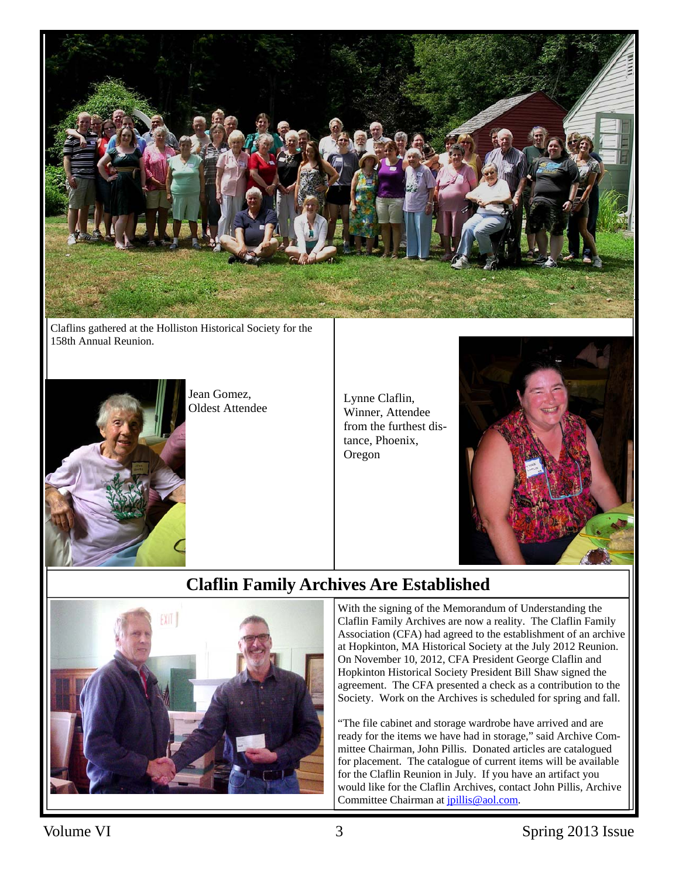

Claflins gathered at the Holliston Historical Society for the 158th Annual Reunion.



Jean Gomez, Jean Gomez,<br>Oldest Attendee Lynne Claflin,

Winner, Attendee from the furthest distance, Phoenix, Oregon



## **Claflin Family Archives Are Established**



With the signing of the Memorandum of Understanding the Claflin Family Archives are now a reality. The Claflin Family Association (CFA) had agreed to the establishment of an archive at Hopkinton, MA Historical Society at the July 2012 Reunion. On November 10, 2012, CFA President George Claflin and Hopkinton Historical Society President Bill Shaw signed the agreement. The CFA presented a check as a contribution to the Society. Work on the Archives is scheduled for spring and fall.

"The file cabinet and storage wardrobe have arrived and are ready for the items we have had in storage," said Archive Committee Chairman, John Pillis. Donated articles are catalogued for placement. The catalogue of current items will be available for the Claflin Reunion in July. If you have an artifact you would like for the Claflin Archives, contact John Pillis, Archive Committee Chairman at *jpillis@aol.com*.